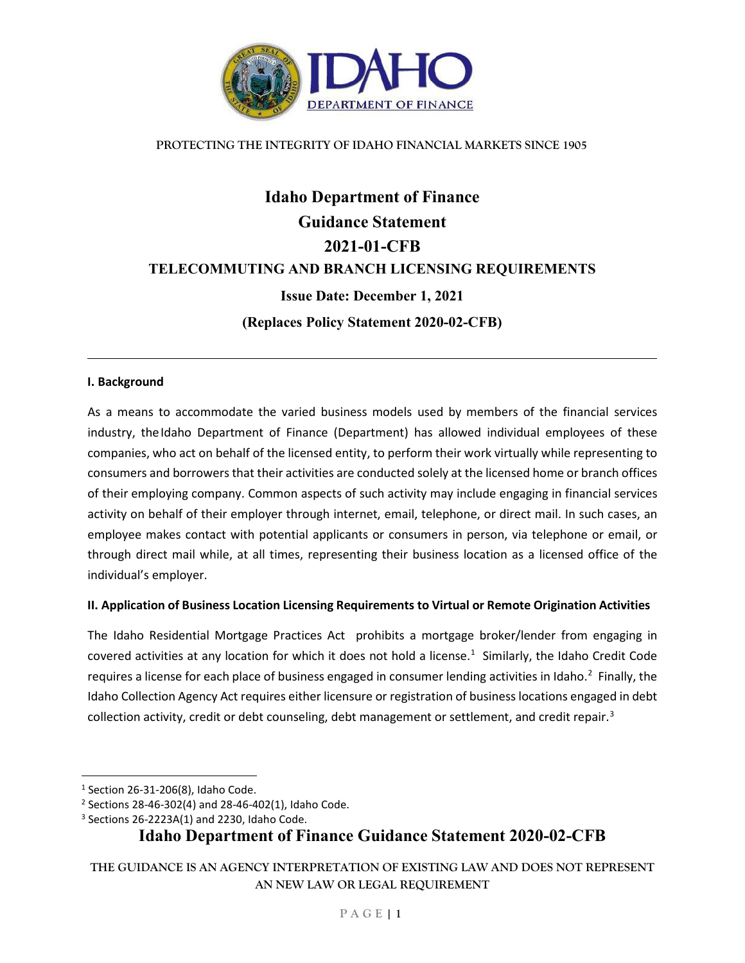

#### **PROTECTING THE INTEGRITY OF IDAHO FINANCIAL MARKETS SINCE 1905**

# **Idaho Department of Finance Guidance Statement 2021-01-CFB TELECOMMUTING AND BRANCH LICENSING REQUIREMENTS Issue Date: December 1, 2021 (Replaces Policy Statement 2020-02-CFB)**

#### **I. Background**

As a means to accommodate the varied business models used by members of the financial services industry, theIdaho Department of Finance (Department) has allowed individual employees of these companies, who act on behalf of the licensed entity, to perform their work virtually while representing to consumers and borrowers that their activities are conducted solely at the licensed home or branch offices of their employing company. Common aspects of such activity may include engaging in financial services activity on behalf of their employer through internet, email, telephone, or direct mail. In such cases, an employee makes contact with potential applicants or consumers in person, via telephone or email, or through direct mail while, at all times, representing their business location as a licensed office of the individual's employer.

#### **II. Application of Business Location Licensing Requirements to Virtual or Remote Origination Activities**

The Idaho Residential Mortgage Practices Act prohibits a mortgage broker/lender from engaging in covered activities at any location for which it does not hold a license. $1$  Similarly, the Idaho Credit Code requires a license for each place of business engaged in consumer lending activities in Idaho.<sup>[2](#page-0-1)</sup> Finally, the Idaho Collection Agency Act requires either licensure or registration of business locations engaged in debt collection activity, credit or debt counseling, debt management or settlement, and credit repair.<sup>[3](#page-0-2)</sup>

### **Idaho Department of Finance Guidance Statement 2020-02-CFB**

**THE GUIDANCE IS AN AGENCY INTERPRETATION OF EXISTING LAW AND DOES NOT REPRESENT AN NEW LAW OR LEGAL REQUIREMENT**

<span id="page-0-0"></span> $1$  Section 26-31-206(8), Idaho Code.

<span id="page-0-1"></span><sup>2</sup> Sections 28-46-302(4) and 28-46-402(1), Idaho Code.

<span id="page-0-2"></span><sup>&</sup>lt;sup>3</sup> Sections 26-2223A(1) and 2230, Idaho Code.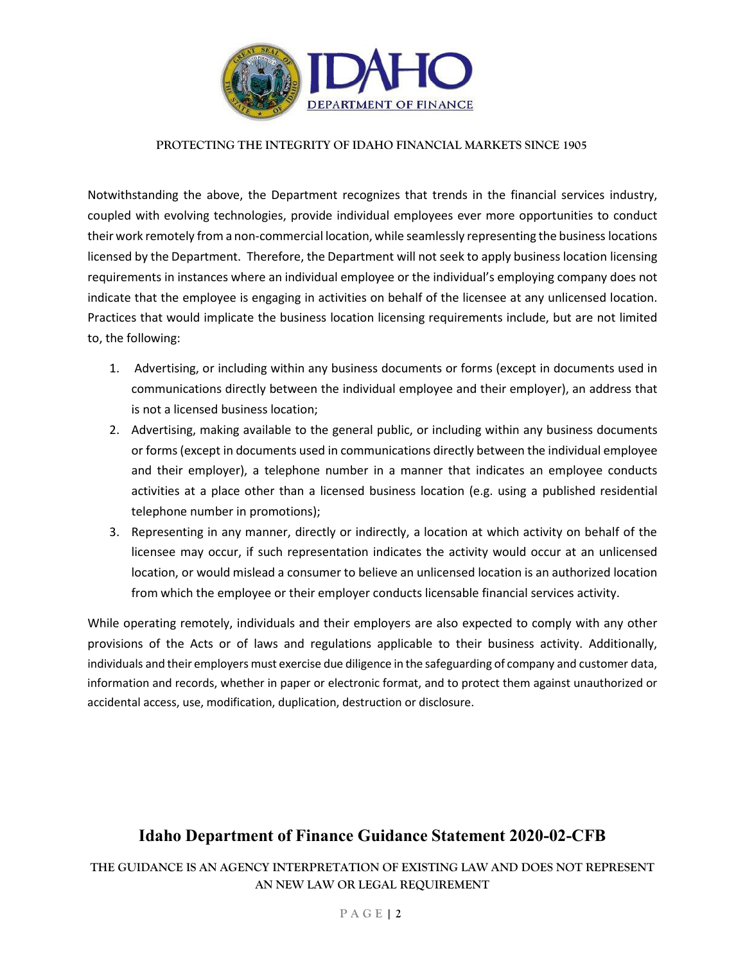

#### **PROTECTING THE INTEGRITY OF IDAHO FINANCIAL MARKETS SINCE 1905**

Notwithstanding the above, the Department recognizes that trends in the financial services industry, coupled with evolving technologies, provide individual employees ever more opportunities to conduct their work remotely from a non-commercial location, while seamlessly representing the business locations licensed by the Department. Therefore, the Department will not seek to apply business location licensing requirements in instances where an individual employee or the individual's employing company does not indicate that the employee is engaging in activities on behalf of the licensee at any unlicensed location. Practices that would implicate the business location licensing requirements include, but are not limited to, the following:

- 1. Advertising, or including within any business documents or forms (except in documents used in communications directly between the individual employee and their employer), an address that is not a licensed business location;
- 2. Advertising, making available to the general public, or including within any business documents or forms (except in documents used in communications directly between the individual employee and their employer), a telephone number in a manner that indicates an employee conducts activities at a place other than a licensed business location (e.g. using a published residential telephone number in promotions);
- 3. Representing in any manner, directly or indirectly, a location at which activity on behalf of the licensee may occur, if such representation indicates the activity would occur at an unlicensed location, or would mislead a consumer to believe an unlicensed location is an authorized location from which the employee or their employer conducts licensable financial services activity.

While operating remotely, individuals and their employers are also expected to comply with any other provisions of the Acts or of laws and regulations applicable to their business activity. Additionally, individuals and their employers must exercise due diligence in the safeguarding of company and customer data, information and records, whether in paper or electronic format, and to protect them against unauthorized or accidental access, use, modification, duplication, destruction or disclosure.

## **Idaho Department of Finance Guidance Statement 2020-02-CFB**

**THE GUIDANCE IS AN AGENCY INTERPRETATION OF EXISTING LAW AND DOES NOT REPRESENT AN NEW LAW OR LEGAL REQUIREMENT**